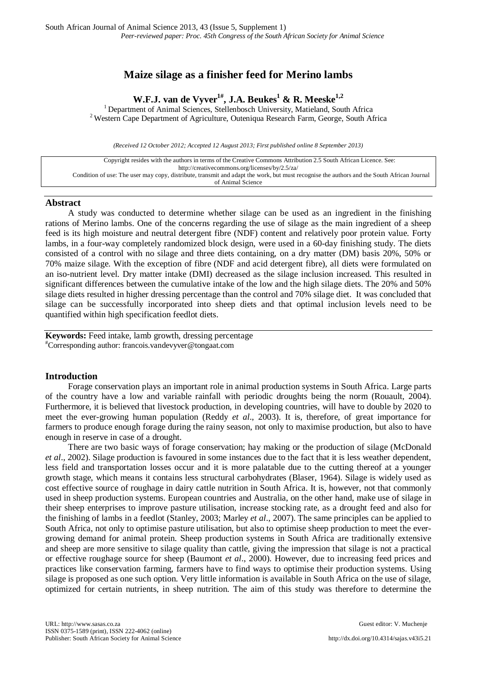# **Maize silage as a finisher feed for Merino lambs**

**W.F.J. van de Vyver<sup>1#</sup>, J.A. Beukes<sup>1</sup> & R. Meeske<sup>1,2</sup>** Pepartment of Animal Sciences, Stellenbosch University, Matieland, South Africa <sup>2</sup> Western Cape Department of Agriculture, Outeniqua Research Farm, George, South Africa

*(Received 12 October 2012; Accepted 12 August 2013; First published online 8 September 2013)*

Copyright resides with the authors in terms of the Creative Commons Attribution 2.5 South African Licence. See: <http://creativecommons.org/licenses/by/2.5/za/> Condition of use: The user may copy, distribute, transmit and adapt the work, but must recognise the authors and the South African Journal of Animal Science

### **Abstract**

A study was conducted to determine whether silage can be used as an ingredient in the finishing rations of Merino lambs. One of the concerns regarding the use of silage as the main ingredient of a sheep feed is its high moisture and neutral detergent fibre (NDF) content and relatively poor protein value. Forty lambs, in a four-way completely randomized block design, were used in a 60-day finishing study. The diets consisted of a control with no silage and three diets containing, on a dry matter (DM) basis 20%, 50% or 70% maize silage. With the exception of fibre (NDF and acid detergent fibre), all diets were formulated on an iso-nutrient level. Dry matter intake (DMI) decreased as the silage inclusion increased. This resulted in significant differences between the cumulative intake of the low and the high silage diets. The 20% and 50% silage diets resulted in higher dressing percentage than the control and 70% silage diet. It was concluded that silage can be successfully incorporated into sheep diets and that optimal inclusion levels need to be quantified within high specification feedlot diets.

**Keywords:** Feed intake, lamb growth, dressing percentage # Corresponding author: francois.vandevyver@tongaat.com

# **Introduction**

Forage conservation plays an important role in animal production systems in South Africa. Large parts of the country have a low and variable rainfall with periodic droughts being the norm (Rouault, 2004). Furthermore, it is believed that livestock production, in developing countries, will have to double by 2020 to meet the ever-growing human population (Reddy *et al*., 2003). It is, therefore, of great importance for farmers to produce enough forage during the rainy season, not only to maximise production, but also to have enough in reserve in case of a drought.

There are two basic ways of forage conservation; hay making or the production of silage (McDonald *et al*., 2002). Silage production is favoured in some instances due to the fact that it is less weather dependent, less field and transportation losses occur and it is more palatable due to the cutting thereof at a younger growth stage, which means it contains less structural carbohydrates (Blaser, 1964). Silage is widely used as cost effective source of roughage in dairy cattle nutrition in South Africa. It is, however, not that commonly used in sheep production systems. European countries and Australia, on the other hand, make use of silage in their sheep enterprises to improve pasture utilisation, increase stocking rate, as a drought feed and also for the finishing of lambs in a feedlot (Stanley, 2003; Marley *et al*., 2007). The same principles can be applied to South Africa, not only to optimise pasture utilisation, but also to optimise sheep production to meet the evergrowing demand for animal protein. Sheep production systems in South Africa are traditionally extensive and sheep are more sensitive to silage quality than cattle, giving the impression that silage is not a practical or effective roughage source for sheep (Baumont *et al*., 2000). However, due to increasing feed prices and practices like conservation farming, farmers have to find ways to optimise their production systems. Using silage is proposed as one such option. Very little information is available in South Africa on the use of silage, optimized for certain nutrients, in sheep nutrition. The aim of this study was therefore to determine the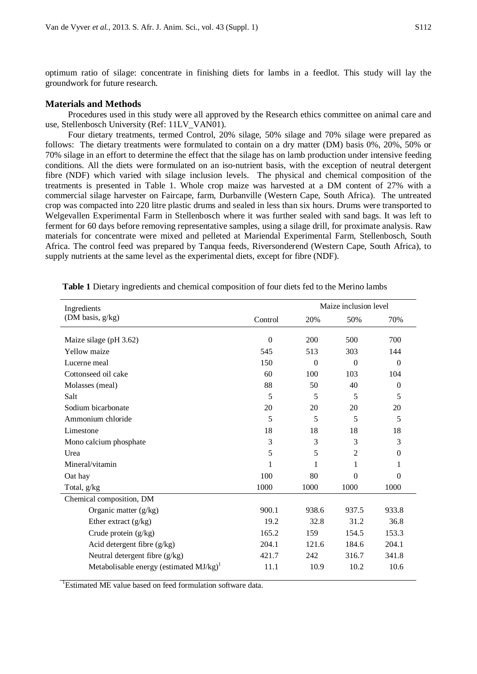optimum ratio of silage: concentrate in finishing diets for lambs in a feedlot. This study will lay the groundwork for future research.

### **Materials and Methods**

Procedures used in this study were all approved by the Research ethics committee on animal care and use, Stellenbosch University (Ref: 11LV\_VAN01).

Four dietary treatments, termed Control, 20% silage, 50% silage and 70% silage were prepared as follows: The dietary treatments were formulated to contain on a dry matter (DM) basis 0%, 20%, 50% or 70% silage in an effort to determine the effect that the silage has on lamb production under intensive feeding conditions. All the diets were formulated on an iso-nutrient basis, with the exception of neutral detergent fibre (NDF) which varied with silage inclusion levels. The physical and chemical composition of the treatments is presented in Table 1. Whole crop maize was harvested at a DM content of 27% with a commercial silage harvester on Faircape, farm, Durbanville (Western Cape, South Africa). The untreated crop was compacted into 220 litre plastic drums and sealed in less than six hours. Drums were transported to Welgevallen Experimental Farm in Stellenbosch where it was further sealed with sand bags. It was left to ferment for 60 days before removing representative samples, using a silage drill, for proximate analysis. Raw materials for concentrate were mixed and pelleted at Mariendal Experimental Farm, Stellenbosch, South Africa. The control feed was prepared by Tanqua feeds, Riversonderend (Western Cape, South Africa), to supply nutrients at the same level as the experimental diets, except for fibre (NDF).

| Ingredients                                         | Maize inclusion level |          |                |              |
|-----------------------------------------------------|-----------------------|----------|----------------|--------------|
| (DM basis, $g/kg$ )                                 | Control               | 20%      | 50%            | 70%          |
| Maize silage (pH 3.62)                              | $\Omega$              | 200      | 500            | 700          |
| <b>Yellow</b> maize                                 | 545                   | 513      | 303            | 144          |
| Lucerne meal                                        | 150                   | $\Omega$ | $\Omega$       | $\Omega$     |
| Cottonseed oil cake                                 | 60                    | 100      | 103            | 104          |
| Molasses (meal)                                     | 88                    | 50       | 40             | $\mathbf{0}$ |
| Salt                                                | 5                     | 5        | 5              | 5            |
| Sodium bicarbonate                                  | 20                    | 20       | 20             | 20           |
| Ammonium chloride                                   | 5                     | 5        | $\overline{5}$ | 5            |
| Limestone                                           | 18                    | 18       | 18             | 18           |
| Mono calcium phosphate                              | 3                     | 3        | 3              | 3            |
| Urea                                                | 5                     | 5        | 2              | $\mathbf{0}$ |
| Mineral/vitamin                                     | 1                     | 1        | 1              | 1            |
| Oat hay                                             | 100                   | 80       | $\Omega$       | 0            |
| Total, g/kg                                         | 1000                  | 1000     | 1000           | 1000         |
| Chemical composition, DM                            |                       |          |                |              |
| Organic matter (g/kg)                               | 900.1                 | 938.6    | 937.5          | 933.8        |
| Ether extract $(g/kg)$                              | 19.2                  | 32.8     | 31.2           | 36.8         |
| Crude protein (g/kg)                                | 165.2                 | 159      | 154.5          | 153.3        |
| Acid detergent fibre $(g/kg)$                       | 204.1                 | 121.6    | 184.6          | 204.1        |
| Neutral detergent fibre $(g/kg)$                    | 421.7                 | 242      | 316.7          | 341.8        |
| Metabolisable energy (estimated MJ/kg) <sup>1</sup> | 11.1                  | 10.9     | 10.2           | 10.6         |

**Table 1** Dietary ingredients and chemical composition of four diets fed to the Merino lambs

<sup>1</sup>Estimated ME value based on feed formulation software data.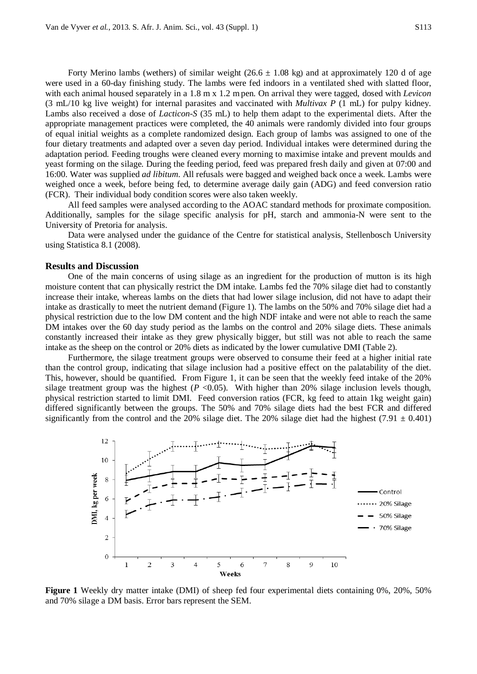Forty Merino lambs (wethers) of similar weight (26.6  $\pm$  1.08 kg) and at approximately 120 d of age were used in a 60-day finishing study. The lambs were fed indoors in a ventilated shed with slatted floor, with each animal housed separately in a 1.8 m x 1.2 m pen. On arrival they were tagged, dosed with *Levicon* (3 mL/10 kg live weight) for internal parasites and vaccinated with *Multivax P* (1 mL) for pulpy kidney. Lambs also received a dose of *Lacticon-S* (35 mL) to help them adapt to the experimental diets. After the appropriate management practices were completed, the 40 animals were randomly divided into four groups of equal initial weights as a complete randomized design. Each group of lambs was assigned to one of the four dietary treatments and adapted over a seven day period. Individual intakes were determined during the adaptation period. Feeding troughs were cleaned every morning to maximise intake and prevent moulds and yeast forming on the silage. During the feeding period, feed was prepared fresh daily and given at 07:00 and 16:00. Water was supplied *ad libitum*. All refusals were bagged and weighed back once a week. Lambs were weighed once a week, before being fed, to determine average daily gain (ADG) and feed conversion ratio (FCR). Their individual body condition scores were also taken weekly.

All feed samples were analysed according to the AOAC standard methods for proximate composition. Additionally, samples for the silage specific analysis for pH, starch and ammonia-N were sent to the University of Pretoria for analysis.

Data were analysed under the guidance of the Centre for statistical analysis, Stellenbosch University using Statistica 8.1 (2008).

#### **Results and Discussion**

One of the main concerns of using silage as an ingredient for the production of mutton is its high moisture content that can physically restrict the DM intake. Lambs fed the 70% silage diet had to constantly increase their intake, whereas lambs on the diets that had lower silage inclusion, did not have to adapt their intake as drastically to meet the nutrient demand (Figure 1). The lambs on the 50% and 70% silage diet had a physical restriction due to the low DM content and the high NDF intake and were not able to reach the same DM intakes over the 60 day study period as the lambs on the control and 20% silage diets. These animals constantly increased their intake as they grew physically bigger, but still was not able to reach the same intake as the sheep on the control or 20% diets as indicated by the lower cumulative DMI (Table 2).

Furthermore, the silage treatment groups were observed to consume their feed at a higher initial rate than the control group, indicating that silage inclusion had a positive effect on the palatability of the diet. This, however, should be quantified. From Figure 1, it can be seen that the weekly feed intake of the 20% silage treatment group was the highest  $(P \le 0.05)$ . With higher than 20% silage inclusion levels though, physical restriction started to limit DMI. Feed conversion ratios (FCR, kg feed to attain 1kg weight gain) differed significantly between the groups. The 50% and 70% silage diets had the best FCR and differed significantly from the control and the 20% silage diet. The 20% silage diet had the highest (7.91  $\pm$  0.401)



**Figure 1** Weekly dry matter intake (DMI) of sheep fed four experimental diets containing 0%, 20%, 50% and 70% silage a DM basis. Error bars represent the SEM.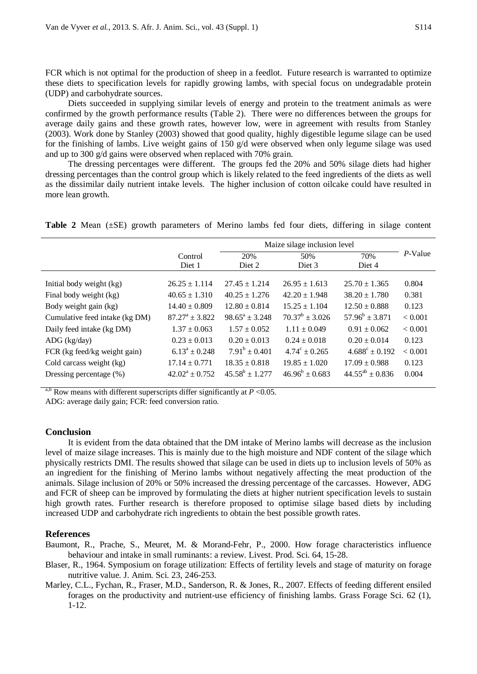FCR which is not optimal for the production of sheep in a feedlot. Future research is warranted to optimize these diets to specification levels for rapidly growing lambs, with special focus on undegradable protein (UDP) and carbohydrate sources.

Diets succeeded in supplying similar levels of energy and protein to the treatment animals as were confirmed by the growth performance results (Table 2). There were no differences between the groups for average daily gains and these growth rates, however low, were in agreement with results from Stanley (2003). Work done by Stanley (2003) showed that good quality, highly digestible legume silage can be used for the finishing of lambs. Live weight gains of 150  $g/d$  were observed when only legume silage was used and up to 300 g/d gains were observed when replaced with 70% grain.

The dressing percentages were different. The groups fed the 20% and 50% silage diets had higher dressing percentages than the control group which is likely related to the feed ingredients of the diets as well as the dissimilar daily nutrient intake levels. The higher inclusion of cotton oilcake could have resulted in more lean growth.

**Table 2** Mean (±SE) growth parameters of Merino lambs fed four diets, differing in silage content

|                                |                           | Maize silage inclusion level |                          |                           |         |
|--------------------------------|---------------------------|------------------------------|--------------------------|---------------------------|---------|
|                                | Control<br>Diet 1         | 20%<br>Diet 2                | 50%<br>Diet 3            | 70%<br>Diet 4             | P-Value |
| Initial body weight (kg)       | $26.25 \pm 1.114$         | $27.45 \pm 1.214$            | $26.95 \pm 1.613$        | $25.70 \pm 1.365$         | 0.804   |
| Final body weight (kg)         | $40.65 \pm 1.310$         | $40.25 \pm 1.276$            | $42.20 \pm 1.948$        | $38.20 \pm 1.780$         | 0.381   |
| Body weight gain (kg)          | $14.40 \pm 0.809$         | $12.80 \pm 0.814$            | $15.25 \pm 1.104$        | $12.50 \pm 0.888$         | 0.123   |
| Cumulative feed intake (kg DM) | $87.27^{\rm a} \pm 3.822$ | $98.65^a \pm 3.248$          | $70.37^b \pm 3.026$      | $57.96^b \pm 3.871$       | < 0.001 |
| Daily feed intake (kg DM)      | $1.37 \pm 0.063$          | $1.57 \pm 0.052$             | $1.11 \pm 0.049$         | $0.91 \pm 0.062$          | < 0.001 |
| $\text{ADG}$ (kg/day)          | $0.23 \pm 0.013$          | $0.20 \pm 0.013$             | $0.24 \pm 0.018$         | $0.20 \pm 0.014$          | 0.123   |
| FCR (kg feed/kg weight gain)   | $6.13^a \pm 0.248$        | $7.91^b \pm 0.401$           | $4.74^{\circ} \pm 0.265$ | $4.688^{\circ} \pm 0.192$ | < 0.001 |
| Cold carcass weight (kg)       | $17.14 \pm 0.771$         | $18.35 \pm 0.818$            | $19.85 \pm 1.020$        | $17.09 \pm 0.988$         | 0.123   |
| Dressing percentage (%)        | $42.02^a \pm 0.752$       | $45.58^b \pm 1.277$          | $46.96^b \pm 0.683$      | $44.55^{ab} \pm 0.836$    | 0.004   |

<sup>a,b</sup> Row means with different superscripts differ significantly at  $P < 0.05$ .

ADG: average daily gain; FCR: feed conversion ratio.

# **Conclusion**

It is evident from the data obtained that the DM intake of Merino lambs will decrease as the inclusion level of maize silage increases. This is mainly due to the high moisture and NDF content of the silage which physically restricts DMI. The results showed that silage can be used in diets up to inclusion levels of 50% as an ingredient for the finishing of Merino lambs without negatively affecting the meat production of the animals. Silage inclusion of 20% or 50% increased the dressing percentage of the carcasses. However, ADG and FCR of sheep can be improved by formulating the diets at higher nutrient specification levels to sustain high growth rates. Further research is therefore proposed to optimise silage based diets by including increased UDP and carbohydrate rich ingredients to obtain the best possible growth rates.

#### **References**

- Baumont, R., Prache, S., Meuret, M. & Morand-Fehr, P., 2000. How forage characteristics influence behaviour and intake in small ruminants: a review. Livest. Prod. Sci. 64, 15-28.
- Blaser, R., 1964. Symposium on forage utilization: Effects of fertility levels and stage of maturity on forage nutritive value. J. Anim. Sci. 23, 246-253.
- Marley, C.L., Fychan, R., Fraser, M.D., Sanderson, R. & Jones, R., 2007. Effects of feeding different ensiled forages on the productivity and nutrient-use efficiency of finishing lambs. Grass Forage Sci. 62 (1), 1-12.